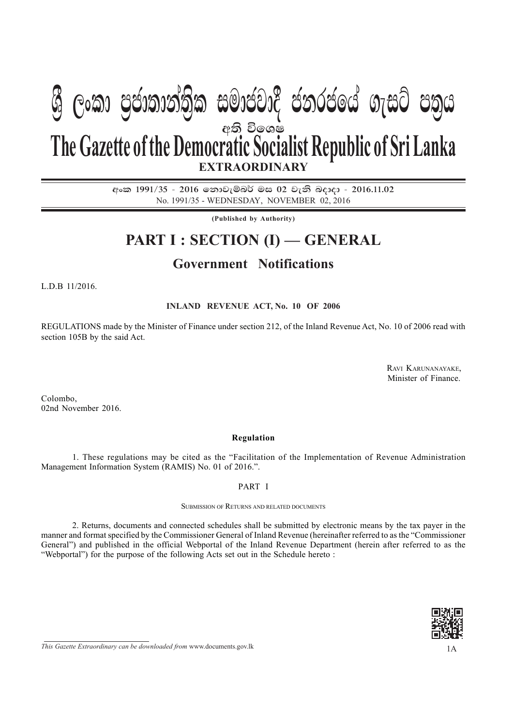# අති විලශෂ **EXTRAORDINARY The Gazette of the Democratic Socialist Republic of Sri Lanka W Geibilge) m malacik celicar nim cbin**

අංක 1991/35 - 2016 නොවැම්බර් මස 02 වැනි බදාදා - 2016.11.02 No. 1991/35 - WEDNESDAY, NOVEMBER 02, 2016

**(Published by Authority)**

## **PART I : SECTION (I) — GENERAL**

### **Government Notifications**

L.D.B 11/2016.

#### **INLAND REVENUE ACT, No. 10 OF 2006**

REGULATIONS made by the Minister of Finance under section 212, of the Inland Revenue Act, No. 10 of 2006 read with section 105B by the said Act.

> RAVI KARUNANAYAKE, Minister of Finance.

Colombo, 02nd November 2016.

#### **Regulation**

1. These regulations may be cited as the "Facilitation of the Implementation of Revenue Administration Management Information System (RAMIS) No. 01 of 2016.".

PART I

#### SUBMISSION OF RETURNS AND RELATED DOCUMENTS

2. Returns, documents and connected schedules shall be submitted by electronic means by the tax payer in the manner and format specified by the Commissioner General of Inland Revenue (hereinafter referred to as the "Commissioner General") and published in the official Webportal of the Inland Revenue Department (herein after referred to as the "Webportal") for the purpose of the following Acts set out in the Schedule hereto :



*This Gazette Extraordinary can be downloaded from* www.documents.gov.lk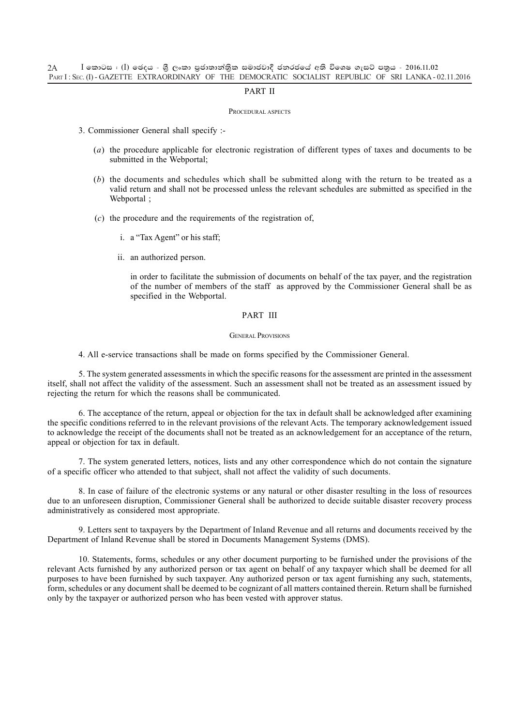#### PART II

#### PROCEDURAL ASPECTS

- 3. Commissioner General shall specify :-
	- (*a*) the procedure applicable for electronic registration of different types of taxes and documents to be submitted in the Webportal:
	- (*b*) the documents and schedules which shall be submitted along with the return to be treated as a valid return and shall not be processed unless the relevant schedules are submitted as specified in the Webportal ;
	- (*c*) the procedure and the requirements of the registration of,
		- i. a "Tax Agent" or his staff;
		- ii. an authorized person.

in order to facilitate the submission of documents on behalf of the tax payer, and the registration of the number of members of the staff as approved by the Commissioner General shall be as specified in the Webportal.

#### PART III

#### GENERAL PROVISIONS

4. All e-service transactions shall be made on forms specified by the Commissioner General.

5. The system generated assessments in which the specific reasons for the assessment are printed in the assessment itself, shall not affect the validity of the assessment. Such an assessment shall not be treated as an assessment issued by rejecting the return for which the reasons shall be communicated.

6. The acceptance of the return, appeal or objection for the tax in default shall be acknowledged after examining the specific conditions referred to in the relevant provisions of the relevant Acts. The temporary acknowledgement issued to acknowledge the receipt of the documents shall not be treated as an acknowledgement for an acceptance of the return, appeal or objection for tax in default.

7. The system generated letters, notices, lists and any other correspondence which do not contain the signature of a specific officer who attended to that subject, shall not affect the validity of such documents.

8. In case of failure of the electronic systems or any natural or other disaster resulting in the loss of resources due to an unforeseen disruption, Commissioner General shall be authorized to decide suitable disaster recovery process administratively as considered most appropriate.

9. Letters sent to taxpayers by the Department of Inland Revenue and all returns and documents received by the Department of Inland Revenue shall be stored in Documents Management Systems (DMS).

10. Statements, forms, schedules or any other document purporting to be furnished under the provisions of the relevant Acts furnished by any authorized person or tax agent on behalf of any taxpayer which shall be deemed for all purposes to have been furnished by such taxpayer. Any authorized person or tax agent furnishing any such, statements, form, schedules or any document shall be deemed to be cognizant of all matters contained therein. Return shall be furnished only by the taxpayer or authorized person who has been vested with approver status.